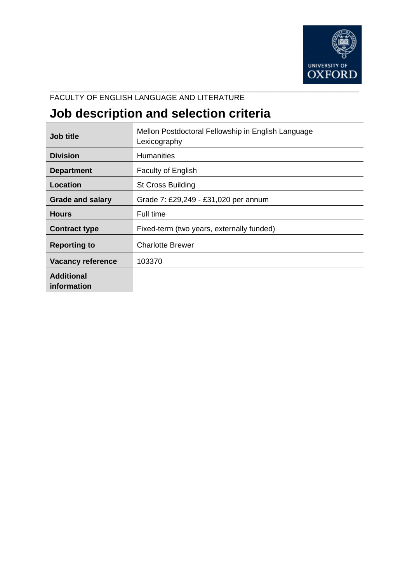

### FACULTY OF ENGLISH LANGUAGE AND LITERATURE

# **Job description and selection criteria**

| <b>Job title</b>                 | Mellon Postdoctoral Fellowship in English Language<br>Lexicography |
|----------------------------------|--------------------------------------------------------------------|
| <b>Division</b>                  | <b>Humanities</b>                                                  |
| <b>Department</b>                | <b>Faculty of English</b>                                          |
| Location                         | <b>St Cross Building</b>                                           |
| <b>Grade and salary</b>          | Grade 7: £29,249 - £31,020 per annum                               |
| <b>Hours</b>                     | Full time                                                          |
| <b>Contract type</b>             | Fixed-term (two years, externally funded)                          |
| <b>Reporting to</b>              | <b>Charlotte Brewer</b>                                            |
| <b>Vacancy reference</b>         | 103370                                                             |
| <b>Additional</b><br>information |                                                                    |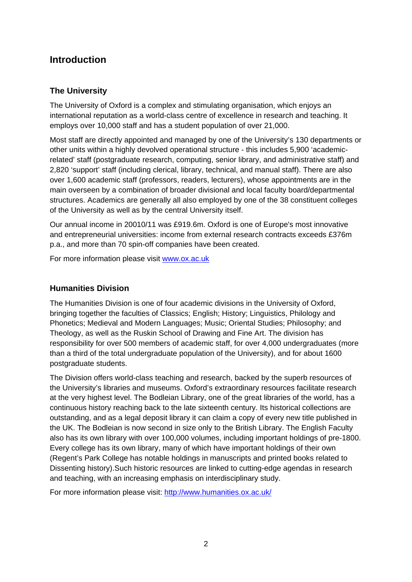# **Introduction**

### **The University**

The University of Oxford is a complex and stimulating organisation, which enjoys an international reputation as a world-class centre of excellence in research and teaching. It employs over 10,000 staff and has a student population of over 21,000.

Most staff are directly appointed and managed by one of the University's 130 departments or other units within a highly devolved operational structure - this includes 5,900 'academicrelated' staff (postgraduate research, computing, senior library, and administrative staff) and 2,820 'support' staff (including clerical, library, technical, and manual staff). There are also over 1,600 academic staff (professors, readers, lecturers), whose appointments are in the main overseen by a combination of broader divisional and local faculty board/departmental structures. Academics are generally all also employed by one of the 38 constituent colleges of the University as well as by the central University itself.

Our annual income in 20010/11 was £919.6m. Oxford is one of Europe's most innovative and entrepreneurial universities: income from external research contracts exceeds £376m p.a., and more than 70 spin-off companies have been created.

For more information please visit [www.ox.ac.uk](http://www.ox.ac.uk/)

### **Humanities Division**

The Humanities Division is one of four academic divisions in the University of Oxford, bringing together the faculties of Classics; English; History; Linguistics, Philology and Phonetics; Medieval and Modern Languages; Music; Oriental Studies; Philosophy; and Theology, as well as the Ruskin School of Drawing and Fine Art. The division has responsibility for over 500 members of academic staff, for over 4,000 undergraduates (more than a third of the total undergraduate population of the University), and for about 1600 postgraduate students.

The Division offers world-class teaching and research, backed by the superb resources of the University's libraries and museums. Oxford's extraordinary resources facilitate research at the very highest level. The Bodleian Library, one of the great libraries of the world, has a continuous history reaching back to the late sixteenth century. Its historical collections are outstanding, and as a legal deposit library it can claim a copy of every new title published in the UK. The Bodleian is now second in size only to the British Library. The English Faculty also has its own library with over 100,000 volumes, including important holdings of pre-1800. Every college has its own library, many of which have important holdings of their own (Regent's Park College has notable holdings in manuscripts and printed books related to Dissenting history).Such historic resources are linked to cutting-edge agendas in research and teaching, with an increasing emphasis on interdisciplinary study.

For more information please visit: <http://www.humanities.ox.ac.uk/>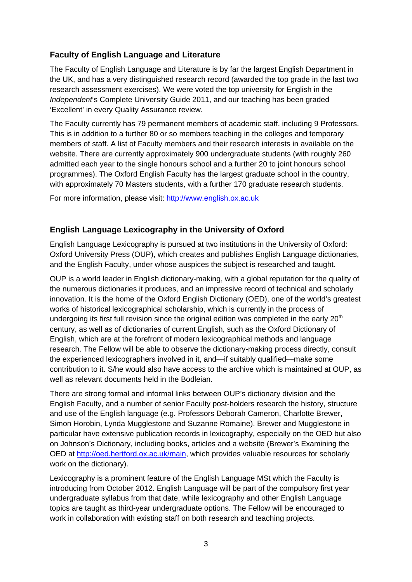### **Faculty of English Language and Literature**

The Faculty of English Language and Literature is by far the largest English Department in the UK, and has a very distinguished research record (awarded the top grade in the last two research assessment exercises). We were voted the top university for English in the *Independent*'s Complete University Guide 2011, and our teaching has been graded 'Excellent' in every Quality Assurance review.

The Faculty currently has 79 permanent members of academic staff, including 9 Professors. This is in addition to a further 80 or so members teaching in the colleges and temporary members of staff. A list of Faculty members and their research interests in available on the website. There are currently approximately 900 undergraduate students (with roughly 260 admitted each year to the single honours school and a further 20 to joint honours school programmes). The Oxford English Faculty has the largest graduate school in the country, with approximately 70 Masters students, with a further 170 graduate research students.

For more information, please visit: [http://www.english.ox.ac.uk](http://www.english.ox.ac.uk/)

### **English Language Lexicography in the University of Oxford**

English Language Lexicography is pursued at two institutions in the University of Oxford: Oxford University Press (OUP), which creates and publishes English Language dictionaries, and the English Faculty, under whose auspices the subject is researched and taught.

OUP is a world leader in English dictionary-making, with a global reputation for the quality of the numerous dictionaries it produces, and an impressive record of technical and scholarly innovation. It is the home of the Oxford English Dictionary (OED), one of the world's greatest works of historical lexicographical scholarship, which is currently in the process of undergoing its first full revision since the original edition was completed in the early  $20<sup>th</sup>$ century, as well as of dictionaries of current English, such as the Oxford Dictionary of English, which are at the forefront of modern lexicographical methods and language research. The Fellow will be able to observe the dictionary-making process directly, consult the experienced lexicographers involved in it, and—if suitably qualified—make some contribution to it. S/he would also have access to the archive which is maintained at OUP, as well as relevant documents held in the Bodleian.

There are strong formal and informal links between OUP's dictionary division and the English Faculty, and a number of senior Faculty post-holders research the history, structure and use of the English language (e.g. Professors Deborah Cameron, Charlotte Brewer, Simon Horobin, Lynda Mugglestone and Suzanne Romaine). Brewer and Mugglestone in particular have extensive publication records in lexicography, especially on the OED but also on Johnson's Dictionary, including books, articles and a website (Brewer's Examining the OED at [http://oed.hertford.ox.ac.uk/main,](http://oed.hertford.ox.ac.uk/main) which provides valuable resources for scholarly work on the dictionary).

Lexicography is a prominent feature of the English Language MSt which the Faculty is introducing from October 2012. English Language will be part of the compulsory first year undergraduate syllabus from that date, while lexicography and other English Language topics are taught as third-year undergraduate options. The Fellow will be encouraged to work in collaboration with existing staff on both research and teaching projects.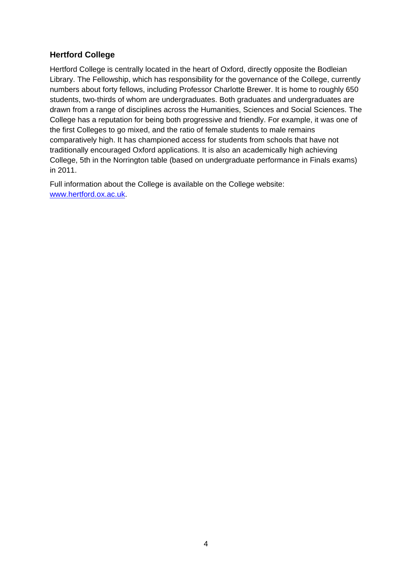### **Hertford College**

Hertford College is centrally located in the heart of Oxford, directly opposite the Bodleian Library. The Fellowship, which has responsibility for the governance of the College, currently numbers about forty fellows, including Professor Charlotte Brewer. It is home to roughly 650 students, two-thirds of whom are undergraduates. Both graduates and undergraduates are drawn from a range of disciplines across the Humanities, Sciences and Social Sciences. The College has a reputation for being both progressive and friendly. For example, it was one of the first Colleges to go mixed, and the ratio of female students to male remains comparatively high. It has championed access for students from schools that have not traditionally encouraged Oxford applications. It is also an academically high achieving College, 5th in the Norrington table (based on undergraduate performance in Finals exams) in 2011.

Full information about the College is available on the College website: [www.hertford.ox.ac.uk.](http://www.hertford.ox.ac.uk/)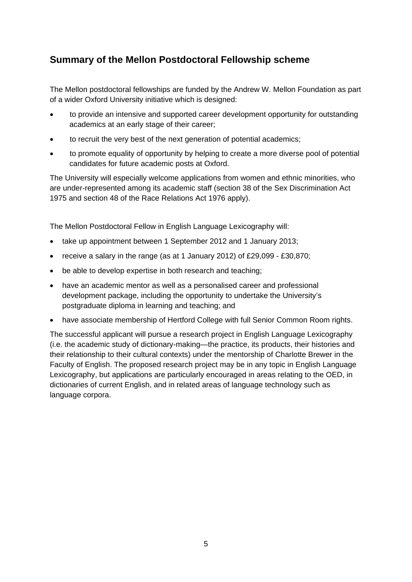# **Summary of the Mellon Postdoctoral Fellowship scheme**

The Mellon postdoctoral fellowships are funded by the Andrew W. Mellon Foundation as part of a wider Oxford University initiative which is designed:

- to provide an intensive and supported career development opportunity for outstanding academics at an early stage of their career;
- to recruit the very best of the next generation of potential academics;
- to promote equality of opportunity by helping to create a more diverse pool of potential candidates for future academic posts at Oxford.

The University will especially welcome applications from women and ethnic minorities, who are under-represented among its academic staff (section 38 of the Sex Discrimination Act 1975 and section 48 of the Race Relations Act 1976 apply).

The Mellon Postdoctoral Fellow in English Language Lexicography will:

- take up appointment between 1 September 2012 and 1 January 2013;
- receive a salary in the range (as at 1 January 2012) of £29,099 £30,870;
- be able to develop expertise in both research and teaching;
- have an academic mentor as well as a personalised career and professional development package, including the opportunity to undertake the University's postgraduate diploma in learning and teaching; and
- have associate membership of Hertford College with full Senior Common Room rights.

The successful applicant will pursue a research project in English Language Lexicography (i.e. the academic study of dictionary-making—the practice, its products, their histories and their relationship to their cultural contexts) under the mentorship of Charlotte Brewer in the Faculty of English. The proposed research project may be in any topic in English Language Lexicography, but applications are particularly encouraged in areas relating to the OED, in dictionaries of current English, and in related areas of language technology such as language corpora.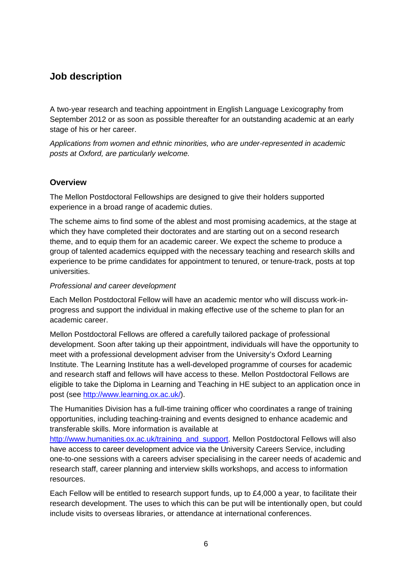# **Job description**

A two-year research and teaching appointment in English Language Lexicography from September 2012 or as soon as possible thereafter for an outstanding academic at an early stage of his or her career.

*Applications from women and ethnic minorities, who are under-represented in academic posts at Oxford, are particularly welcome.* 

#### **Overview**

The Mellon Postdoctoral Fellowships are designed to give their holders supported experience in a broad range of academic duties.

The scheme aims to find some of the ablest and most promising academics, at the stage at which they have completed their doctorates and are starting out on a second research theme, and to equip them for an academic career. We expect the scheme to produce a group of talented academics equipped with the necessary teaching and research skills and experience to be prime candidates for appointment to tenured, or tenure-track, posts at top universities.

#### *Professional and career development*

Each Mellon Postdoctoral Fellow will have an academic mentor who will discuss work-inprogress and support the individual in making effective use of the scheme to plan for an academic career.

Mellon Postdoctoral Fellows are offered a carefully tailored package of professional development. Soon after taking up their appointment, individuals will have the opportunity to meet with a professional development adviser from the University's Oxford Learning Institute. The Learning Institute has a well-developed programme of courses for academic and research staff and fellows will have access to these. Mellon Postdoctoral Fellows are eligible to take the Diploma in Learning and Teaching in HE subject to an application once in post (see http://www.learning.ox.ac.uk/).

The Humanities Division has a full-time training officer who coordinates a range of training opportunities, including teaching-training and events designed to enhance academic and transferable skills. More information is available at

[http://www.humanities.ox.ac.uk/training\\_and\\_support](http://www.humanities.ox.ac.uk/training_and_support). Mellon Postdoctoral Fellows will also have access to career development advice via the University Careers Service, including one-to-one sessions with a careers adviser specialising in the career needs of academic and research staff, career planning and interview skills workshops, and access to information resources.

Each Fellow will be entitled to research support funds, up to £4,000 a year, to facilitate their research development. The uses to which this can be put will be intentionally open, but could include visits to overseas libraries, or attendance at international conferences.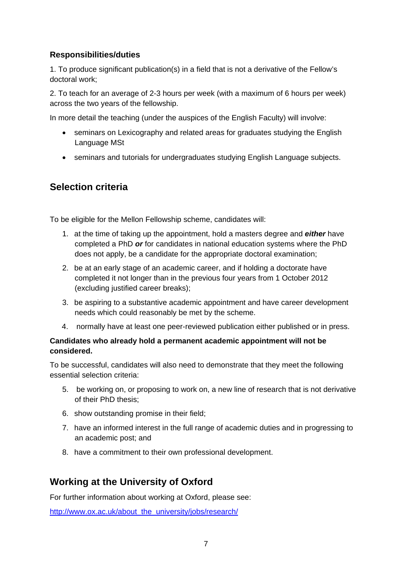### **Responsibilities/duties**

1. To produce significant publication(s) in a field that is not a derivative of the Fellow's doctoral work;

2. To teach for an average of 2-3 hours per week (with a maximum of 6 hours per week) across the two years of the fellowship.

In more detail the teaching (under the auspices of the English Faculty) will involve:

- seminars on Lexicography and related areas for graduates studying the English Language MSt
- seminars and tutorials for undergraduates studying English Language subjects.

# **Selection criteria**

To be eligible for the Mellon Fellowship scheme, candidates will:

- 1. at the time of taking up the appointment, hold a masters degree and *either* have completed a PhD *or* for candidates in national education systems where the PhD does not apply, be a candidate for the appropriate doctoral examination;
- 2. be at an early stage of an academic career, and if holding a doctorate have completed it not longer than in the previous four years from 1 October 2012 (excluding justified career breaks);
- 3. be aspiring to a substantive academic appointment and have career development needs which could reasonably be met by the scheme.
- 4. normally have at least one peer-reviewed publication either published or in press.

#### **Candidates who already hold a permanent academic appointment will not be considered.**

To be successful, candidates will also need to demonstrate that they meet the following essential selection criteria:

- 5. be working on, or proposing to work on, a new line of research that is not derivative of their PhD thesis;
- 6. show outstanding promise in their field;
- 7. have an informed interest in the full range of academic duties and in progressing to an academic post; and
- 8. have a commitment to their own professional development.

### **Working at the University of Oxford**

For further information about working at Oxford, please see:

[http://www.ox.ac.uk/about\\_the\\_university/jobs/research/](http://www.ox.ac.uk/about_the_university/jobs/research/)